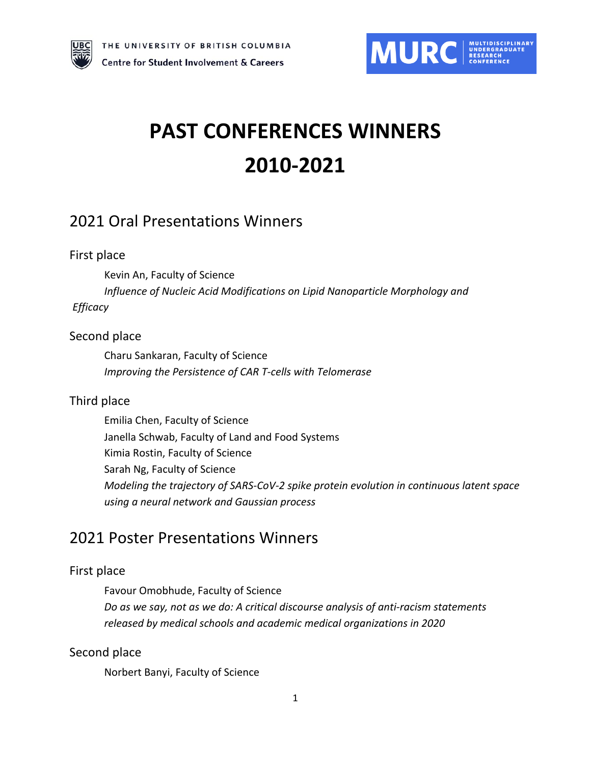



# **PAST CONFERENCES WINNERS 2010-2021**

# 2021 Oral Presentations Winners

### First place

Kevin An, Faculty of Science

*Influence of Nucleic Acid Modifications on Lipid Nanoparticle Morphology and Efficacy*

### Second place

Charu Sankaran, Faculty of Science *Improving the Persistence of CAR T-cells with Telomerase*

### Third place

Emilia Chen, Faculty of Science Janella Schwab, Faculty of Land and Food Systems Kimia Rostin, Faculty of Science Sarah Ng, Faculty of Science *Modeling the trajectory of SARS-CoV-2 spike protein evolution in continuous latent space using a neural network and Gaussian process*

# 2021 Poster Presentations Winners

### First place

Favour Omobhude, Faculty of Science *Do as we say, not as we do: A critical discourse analysis of anti-racism statements released by medical schools and academic medical organizations in 2020*

### Second place

Norbert Banyi, Faculty of Science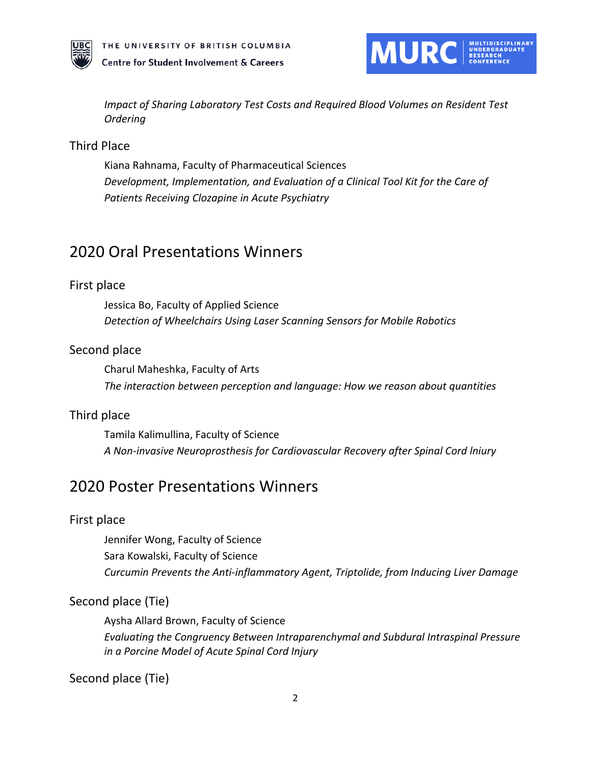



*Impact of Sharing Laboratory Test Costs and Required Blood Volumes on Resident Test Ordering*

### Third Place

Kiana Rahnama, Faculty of Pharmaceutical Sciences *Development, Implementation, and Evaluation of a Clinical Tool Kit for the Care of Patients Receiving Clozapine in Acute Psychiatry*

# 2020 Oral Presentations Winners

#### First place

Jessica Bo, Faculty of Applied Science *Detection of Wheelchairs Using Laser Scanning Sensors for Mobile Robotics*

#### Second place

Charul Maheshka, Faculty of Arts *The interaction between perception and language: How we reason about quantities* 

#### Third place

Tamila Kalimullina, Faculty of Science *A Non-invasive Neuroprosthesis for Cardiovascular Recovery after Spinal Cord lniury*

# 2020 Poster Presentations Winners

#### First place

Jennifer Wong, Faculty of Science Sara Kowalski, Faculty of Science *Curcumin Prevents the Anti-inflammatory Agent, Triptolide, from Inducing Liver Damage* 

#### Second place (Tie)

Aysha Allard Brown, Faculty of Science *Evaluating the Congruency Between Intraparenchymal and Subdural Intraspinal Pressure in a Porcine Model of Acute Spinal Cord Injury*

Second place (Tie)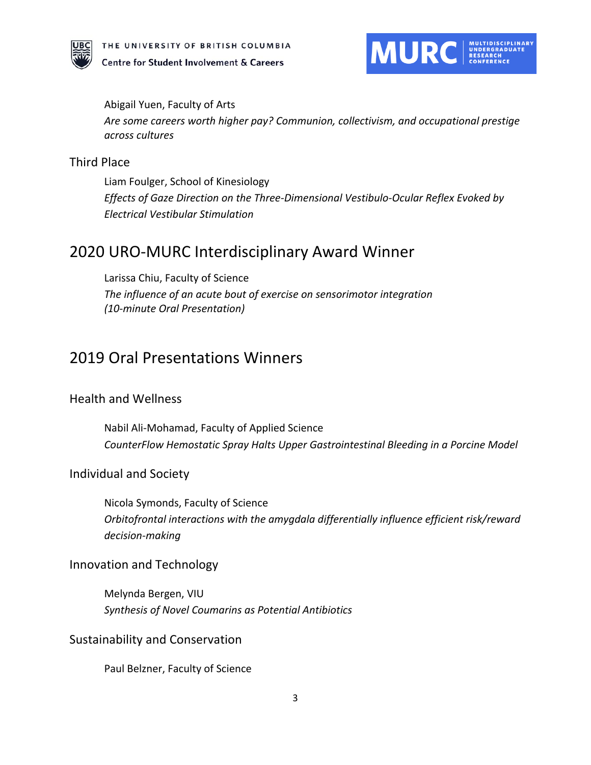



Abigail Yuen, Faculty of Arts *Are some careers worth higher pay? Communion, collectivism, and occupational prestige across cultures*

#### Third Place

Liam Foulger, School of Kinesiology *Effects of Gaze Direction on the Three-Dimensional Vestibulo-Ocular Reflex Evoked by Electrical Vestibular Stimulation*

# 2020 URO-MURC Interdisciplinary Award Winner

Larissa Chiu, Faculty of Science *The influence of an acute bout of exercise on sensorimotor integration (10-minute Oral Presentation)*

# 2019 Oral Presentations Winners

#### Health and Wellness

Nabil Ali-Mohamad, Faculty of Applied Science *CounterFlow Hemostatic Spray Halts Upper Gastrointestinal Bleeding in a Porcine Model*

#### Individual and Society

Nicola Symonds, Faculty of Science *Orbitofrontal interactions with the amygdala differentially influence efficient risk/reward decision-making*

#### Innovation and Technology

Melynda Bergen, VIU *Synthesis of Novel Coumarins as Potential Antibiotics*

#### Sustainability and Conservation

Paul Belzner, Faculty of Science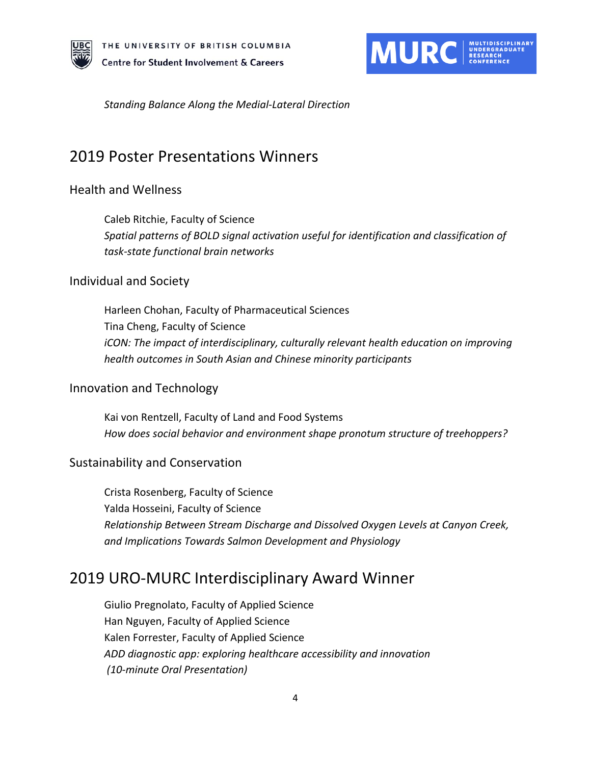



*Standing Balance Along the Medial-Lateral Direction*

# 2019 Poster Presentations Winners

### Health and Wellness

Caleb Ritchie, Faculty of Science *Spatial patterns of BOLD signal activation useful for identification and classification of task-state functional brain networks*

#### Individual and Society

Harleen Chohan, Faculty of Pharmaceutical Sciences Tina Cheng, Faculty of Science *iCON: The impact of interdisciplinary, culturally relevant health education on improving health outcomes in South Asian and Chinese minority participants*

### Innovation and Technology

Kai von Rentzell, Faculty of Land and Food Systems *How does social behavior and environment shape pronotum structure of treehoppers?*

#### Sustainability and Conservation

Crista Rosenberg, Faculty of Science Yalda Hosseini, Faculty of Science *Relationship Between Stream Discharge and Dissolved Oxygen Levels at Canyon Creek, and Implications Towards Salmon Development and Physiology*

# 2019 URO-MURC Interdisciplinary Award Winner

Giulio Pregnolato, Faculty of Applied Science Han Nguyen, Faculty of Applied Science Kalen Forrester, Faculty of Applied Science *ADD diagnostic app: exploring healthcare accessibility and innovation (10-minute Oral Presentation)*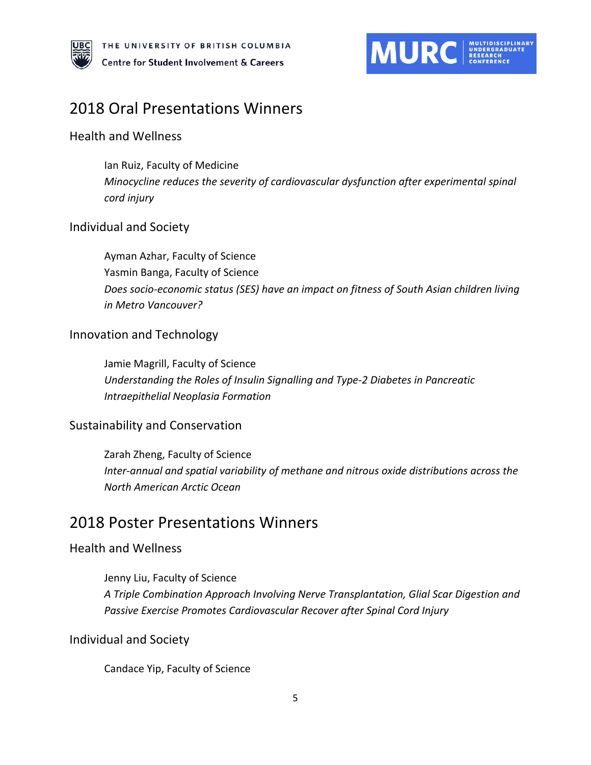



# 2018 Oral Presentations Winners

### Health and Wellness

Ian Ruiz, Faculty of Medicine *Minocycline reduces the severity of cardiovascular dysfunction after experimental spinal cord injury*

### Individual and Society

Ayman Azhar, Faculty of Science Yasmin Banga, Faculty of Science *Does socio-economic status (SES) have an impact on fitness of South Asian children living in Metro Vancouver?* 

### Innovation and Technology

Jamie Magrill, Faculty of Science *Understanding the Roles of Insulin Signalling and Type-2 Diabetes in Pancreatic Intraepithelial Neoplasia Formation*

#### Sustainability and Conservation

Zarah Zheng, Faculty of Science *Inter-annual and spatial variability of methane and nitrous oxide distributions across the North American Arctic Ocean*

# 2018 Poster Presentations Winners

### Health and Wellness

Jenny Liu, Faculty of Science *A Triple Combination Approach Involving Nerve Transplantation, Glial Scar Digestion and Passive Exercise Promotes Cardiovascular Recover after Spinal Cord Injury*

#### Individual and Society

Candace Yip, Faculty of Science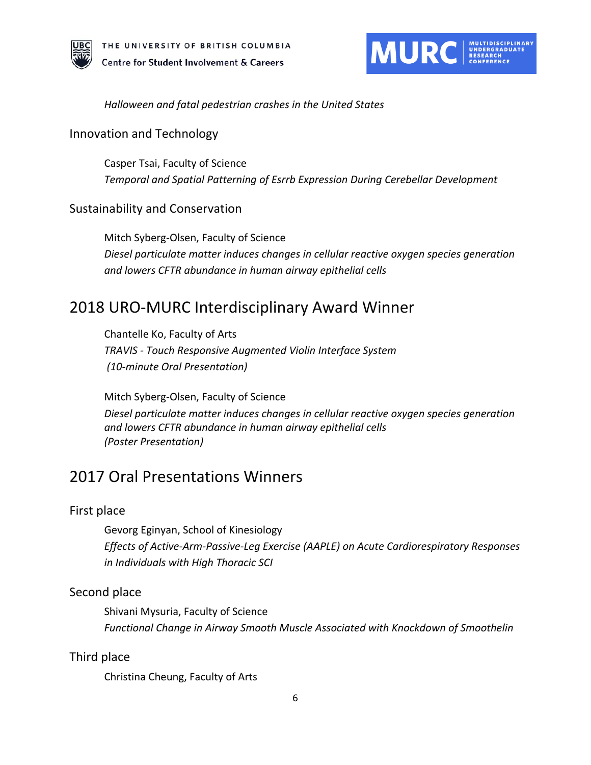

#### *Halloween and fatal pedestrian crashes in the United States*

#### Innovation and Technology

Casper Tsai, Faculty of Science *Temporal and Spatial Patterning of Esrrb Expression During Cerebellar Development*

#### Sustainability and Conservation

Mitch Syberg-Olsen, Faculty of Science *Diesel particulate matter induces changes in cellular reactive oxygen species generation and lowers CFTR abundance in human airway epithelial cells*

# 2018 URO-MURC Interdisciplinary Award Winner

Chantelle Ko, Faculty of Arts *TRAVIS - Touch Responsive Augmented Violin Interface System (10-minute Oral Presentation)*

Mitch Syberg-Olsen, Faculty of Science *Diesel particulate matter induces changes in cellular reactive oxygen species generation and lowers CFTR abundance in human airway epithelial cells (Poster Presentation)*

# 2017 Oral Presentations Winners

#### First place

Gevorg Eginyan, School of Kinesiology *Effects of Active-Arm-Passive-Leg Exercise (AAPLE) on Acute Cardiorespiratory Responses in Individuals with High Thoracic SCI*

#### Second place

Shivani Mysuria, Faculty of Science *Functional Change in Airway Smooth Muscle Associated with Knockdown of Smoothelin*

#### Third place

Christina Cheung, Faculty of Arts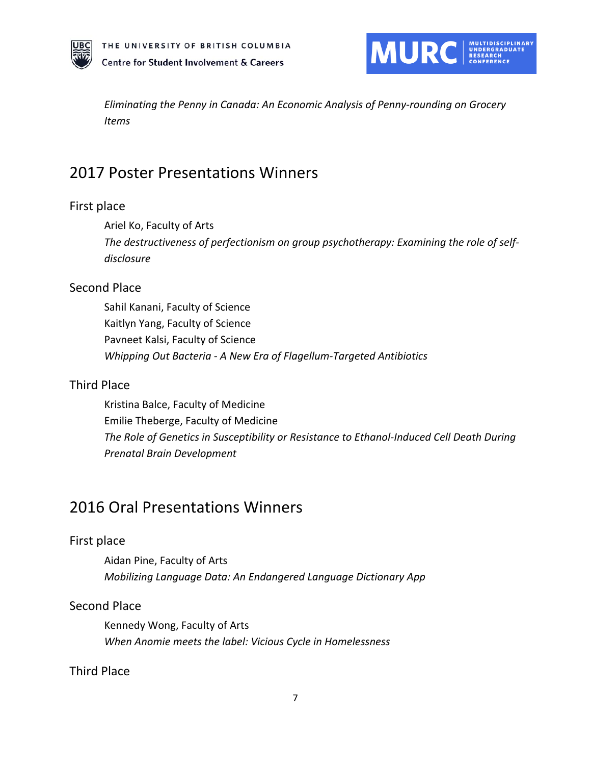



*Eliminating the Penny in Canada: An Economic Analysis of Penny-rounding on Grocery Items*

# 2017 Poster Presentations Winners

#### First place

Ariel Ko, Faculty of Arts

*The destructiveness of perfectionism on group psychotherapy: Examining the role of selfdisclosure*

### Second Place

Sahil Kanani, Faculty of Science Kaitlyn Yang, Faculty of Science Pavneet Kalsi, Faculty of Science *Whipping Out Bacteria - A New Era of Flagellum-Targeted Antibiotics*

#### Third Place

Kristina Balce, Faculty of Medicine Emilie Theberge, Faculty of Medicine *The Role of Genetics in Susceptibility or Resistance to Ethanol-Induced Cell Death During Prenatal Brain Development*

# 2016 Oral Presentations Winners

#### First place

Aidan Pine, Faculty of Arts *Mobilizing Language Data: An Endangered Language Dictionary App*

### Second Place

Kennedy Wong, Faculty of Arts *When Anomie meets the label: Vicious Cycle in Homelessness*

### Third Place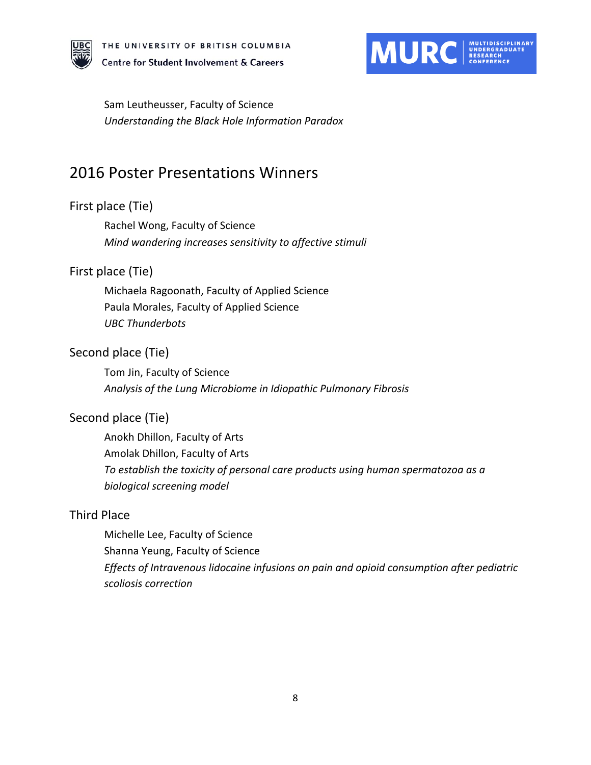



Sam Leutheusser, Faculty of Science *Understanding the Black Hole Information Paradox*

# 2016 Poster Presentations Winners

### First place (Tie)

Rachel Wong, Faculty of Science *Mind wandering increases sensitivity to affective stimuli*

### First place (Tie)

Michaela Ragoonath, Faculty of Applied Science Paula Morales, Faculty of Applied Science *UBC Thunderbots*

### Second place (Tie)

Tom Jin, Faculty of Science *Analysis of the Lung Microbiome in Idiopathic Pulmonary Fibrosis*

### Second place (Tie)

Anokh Dhillon, Faculty of Arts Amolak Dhillon, Faculty of Arts *To establish the toxicity of personal care products using human spermatozoa as a biological screening model*

### Third Place

Michelle Lee, Faculty of Science Shanna Yeung, Faculty of Science *Effects of Intravenous lidocaine infusions on pain and opioid consumption after pediatric scoliosis correction*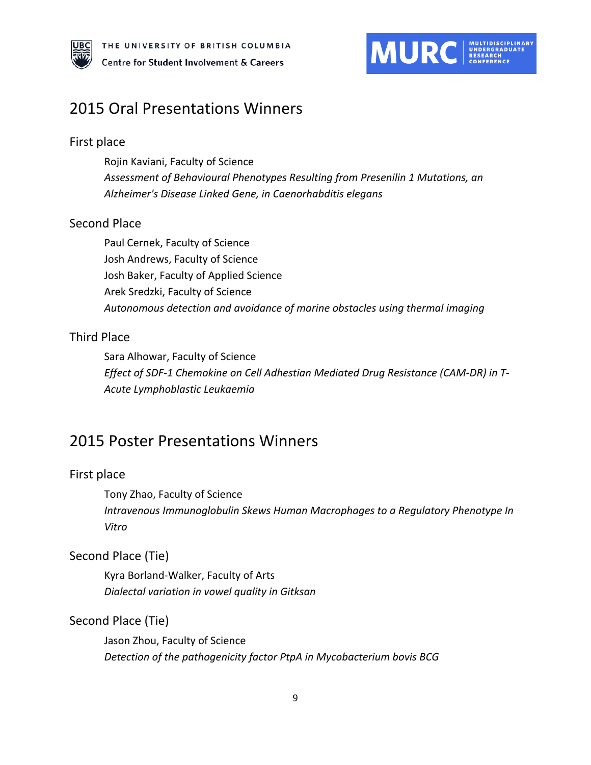



# 2015 Oral Presentations Winners

#### First place

Rojin Kaviani, Faculty of Science *Assessment of Behavioural Phenotypes Resulting from Presenilin 1 Mutations, an Alzheimer's Disease Linked Gene, in Caenorhabditis elegans*

#### Second Place

Paul Cernek, Faculty of Science Josh Andrews, Faculty of Science Josh Baker, Faculty of Applied Science Arek Sredzki, Faculty of Science *Autonomous detection and avoidance of marine obstacles using thermal imaging*

### Third Place

Sara Alhowar, Faculty of Science *Effect of SDF-1 Chemokine on Cell Adhestian Mediated Drug Resistance (CAM-DR) in T-Acute Lymphoblastic Leukaemia*

# 2015 Poster Presentations Winners

#### First place

Tony Zhao, Faculty of Science *Intravenous Immunoglobulin Skews Human Macrophages to a Regulatory Phenotype In Vitro*

#### Second Place (Tie)

Kyra Borland-Walker, Faculty of Arts *Dialectal variation in vowel quality in Gitksan*

#### Second Place (Tie)

Jason Zhou, Faculty of Science *Detection of the pathogenicity factor PtpA in Mycobacterium bovis BCG*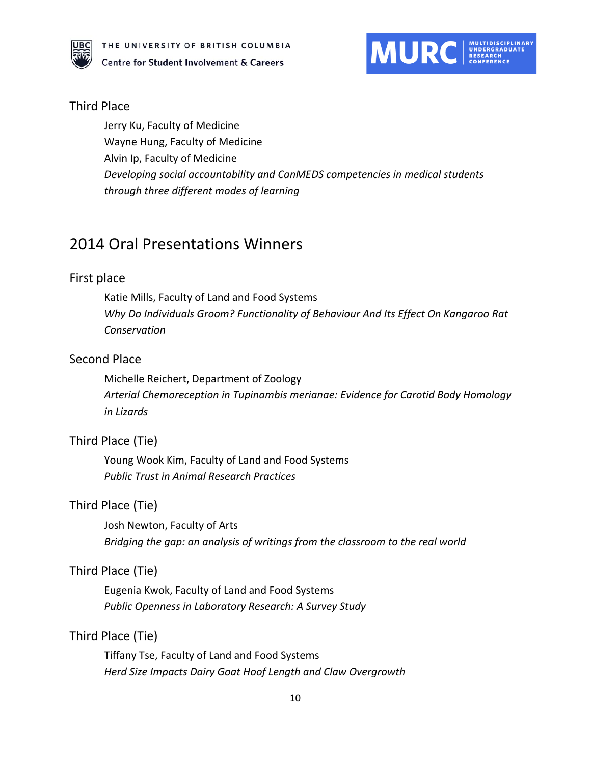



#### Third Place

Jerry Ku, Faculty of Medicine Wayne Hung, Faculty of Medicine Alvin Ip, Faculty of Medicine *Developing social accountability and CanMEDS competencies in medical students through three different modes of learning*

# 2014 Oral Presentations Winners

#### First place

Katie Mills, Faculty of Land and Food Systems *Why Do Individuals Groom? Functionality of Behaviour And Its Effect On Kangaroo Rat Conservation*

#### Second Place

Michelle Reichert, Department of Zoology *Arterial Chemoreception in Tupinambis merianae: Evidence for Carotid Body Homology in Lizards*

#### Third Place (Tie)

Young Wook Kim, Faculty of Land and Food Systems *Public Trust in Animal Research Practices*

#### Third Place (Tie)

Josh Newton, Faculty of Arts *Bridging the gap: an analysis of writings from the classroom to the real world*

#### Third Place (Tie)

Eugenia Kwok, Faculty of Land and Food Systems *Public Openness in Laboratory Research: A Survey Study*

#### Third Place (Tie)

Tiffany Tse, Faculty of Land and Food Systems *Herd Size Impacts Dairy Goat Hoof Length and Claw Overgrowth*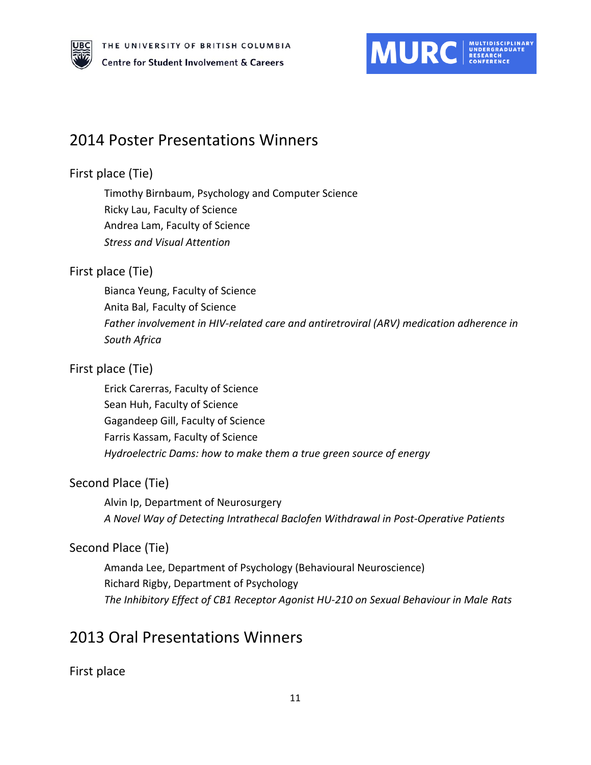

# 2014 Poster Presentations Winners

## First place (Tie)

Timothy Birnbaum, Psychology and Computer Science Ricky Lau, Faculty of Science Andrea Lam, Faculty of Science *Stress and Visual Attention*

### First place (Tie)

Bianca Yeung, Faculty of Science Anita Bal, Faculty of Science *Father involvement in HIV-related care and antiretroviral (ARV) medication adherence in South Africa*

### First place (Tie)

Erick Carerras, Faculty of Science Sean Huh, Faculty of Science Gagandeep Gill, Faculty of Science Farris Kassam, Faculty of Science *Hydroelectric Dams: how to make them a true green source of energy*

## Second Place (Tie)

Alvin Ip, Department of Neurosurgery *A Novel Way of Detecting Intrathecal Baclofen Withdrawal in Post-Operative Patients*

## Second Place (Tie)

Amanda Lee, Department of Psychology (Behavioural Neuroscience) Richard Rigby, Department of Psychology *The Inhibitory Effect of CB1 Receptor Agonist HU-210 on Sexual Behaviour in Male Rats*

# 2013 Oral Presentations Winners

First place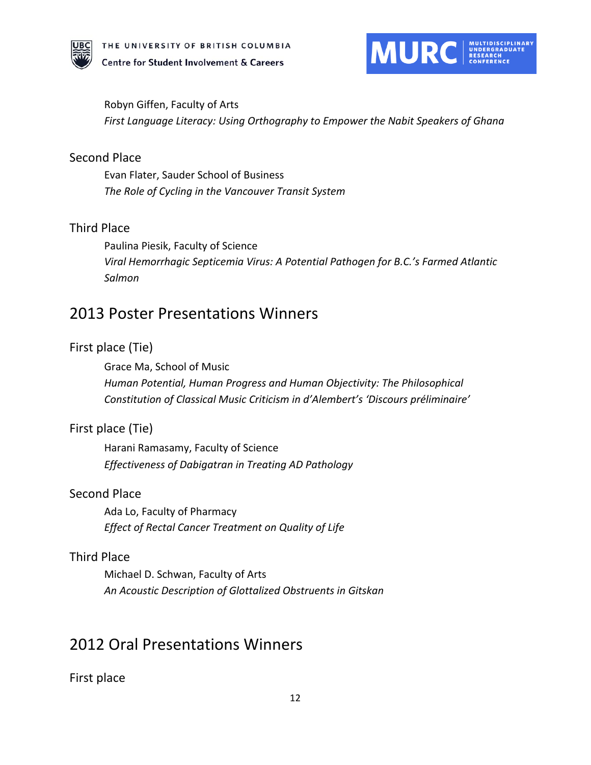



Robyn Giffen, Faculty of Arts

*First Language Literacy: Using Orthography to Empower the Nabit Speakers of Ghana* 

#### Second Place

Evan Flater, Sauder School of Business *The Role of Cycling in the Vancouver Transit System* 

#### Third Place

Paulina Piesik, Faculty of Science *Viral Hemorrhagic Septicemia Virus: A Potential Pathogen for B.C.'s Farmed Atlantic Salmon* 

# 2013 Poster Presentations Winners

### First place (Tie)

Grace Ma, School of Music

*Human Potential, Human Progress and Human Objectivity: The Philosophical Constitution of Classical Music Criticism in d'Alembert's 'Discours préliminaire'* 

#### First place (Tie)

Harani Ramasamy, Faculty of Science *Effectiveness of Dabigatran in Treating AD Pathology* 

#### Second Place

Ada Lo, Faculty of Pharmacy *Effect of Rectal Cancer Treatment on Quality of Life* 

#### Third Place

Michael D. Schwan, Faculty of Arts *An Acoustic Description of Glottalized Obstruents in Gitskan* 

# 2012 Oral Presentations Winners

First place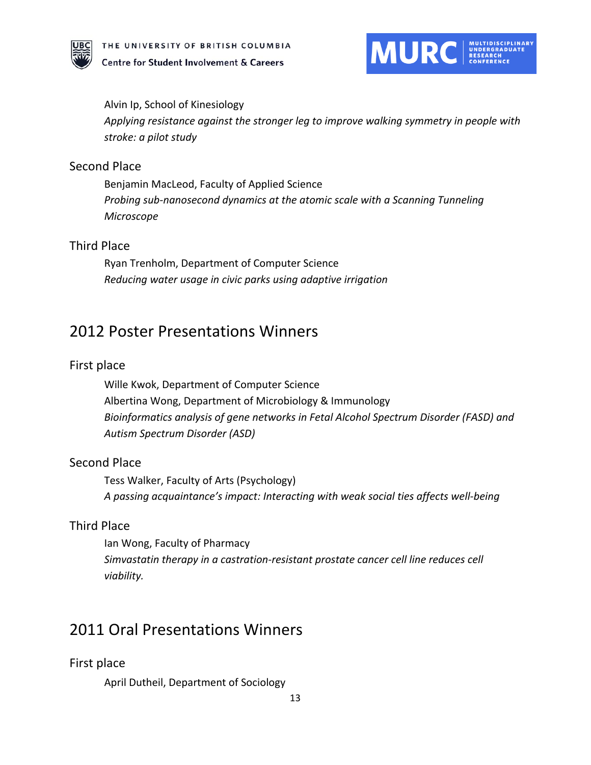



Alvin Ip, School of Kinesiology *Applying resistance against the stronger leg to improve walking symmetry in people with stroke: a pilot study*

#### Second Place

Benjamin MacLeod, Faculty of Applied Science *Probing sub-nanosecond dynamics at the atomic scale with a Scanning Tunneling Microscope*

#### Third Place

Ryan Trenholm, Department of Computer Science *Reducing water usage in civic parks using adaptive irrigation*

# 2012 Poster Presentations Winners

#### First place

Wille Kwok, Department of Computer Science Albertina Wong, Department of Microbiology & Immunology *Bioinformatics analysis of gene networks in Fetal Alcohol Spectrum Disorder (FASD) and Autism Spectrum Disorder (ASD)*

### Second Place

Tess Walker, Faculty of Arts (Psychology) *A passing acquaintance's impact: Interacting with weak social ties affects well-being*

### Third Place

Ian Wong, Faculty of Pharmacy *Simvastatin therapy in a castration-resistant prostate cancer cell line reduces cell viability.*

# 2011 Oral Presentations Winners

#### First place

April Dutheil, Department of Sociology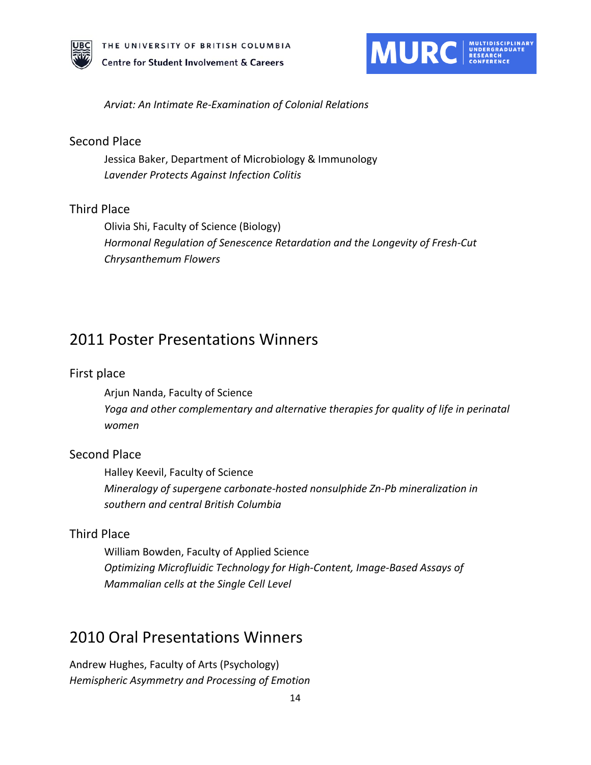



*Arviat: An Intimate Re-Examination of Colonial Relations* 

#### Second Place

Jessica Baker, Department of Microbiology & Immunology *Lavender Protects Against Infection Colitis* 

#### Third Place

Olivia Shi, Faculty of Science (Biology) *Hormonal Regulation of Senescence Retardation and the Longevity of Fresh-Cut Chrysanthemum Flowers* 

# 2011 Poster Presentations Winners

#### First place

Arjun Nanda, Faculty of Science *Yoga and other complementary and alternative therapies for quality of life in perinatal women*

### Second Place

Halley Keevil, Faculty of Science *Mineralogy of supergene carbonate-hosted nonsulphide Zn-Pb mineralization in southern and central British Columbia* 

### Third Place

William Bowden, Faculty of Applied Science *Optimizing Microfluidic Technology for High-Content, Image-Based Assays of Mammalian cells at the Single Cell Level* 

# 2010 Oral Presentations Winners

Andrew Hughes, Faculty of Arts (Psychology) *Hemispheric Asymmetry and Processing of Emotion*